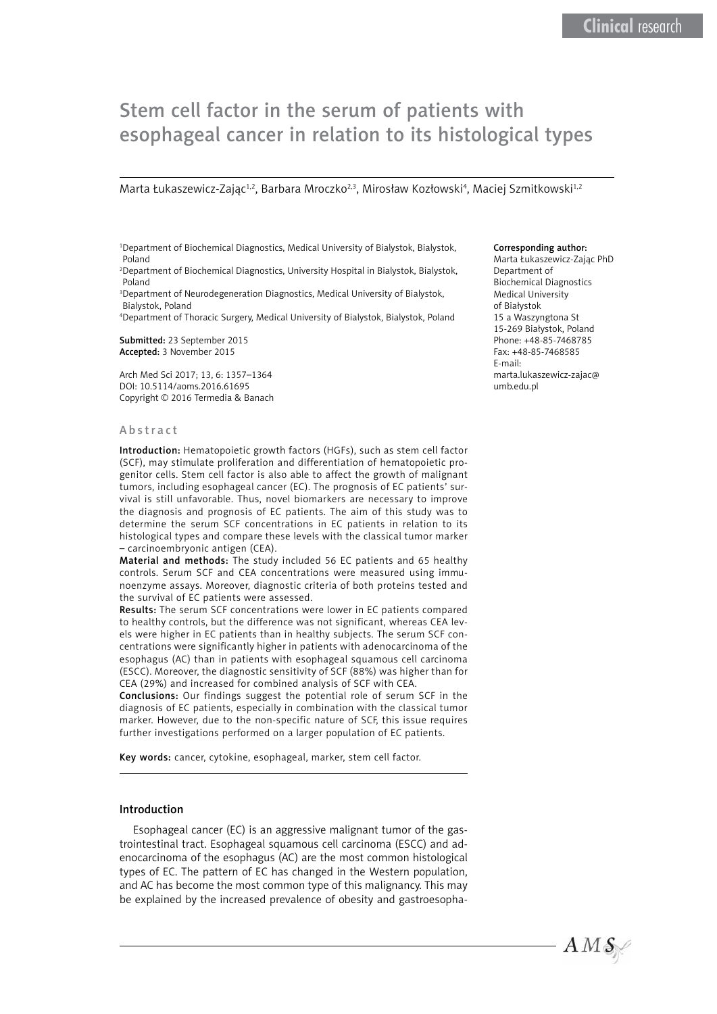# Stem cell factor in the serum of patients with esophageal cancer in relation to its histological types

Marta Łukaszewicz-Zając<sup>1,2</sup>, Barbara Mroczko<sup>2,3</sup>, Mirosław Kozłowski<sup>4</sup>, Maciej Szmitkowski<sup>1,2</sup>

1 Department of Biochemical Diagnostics, Medical University of Bialystok, Bialystok, Poland

2 Department of Biochemical Diagnostics, University Hospital in Bialystok, Bialystok, Poland

3 Department of Neurodegeneration Diagnostics, Medical University of Bialystok, Bialystok, Poland

4 Department of Thoracic Surgery, Medical University of Bialystok, Bialystok, Poland

Submitted: 23 September 2015 Accepted: 3 November 2015

Arch Med Sci 2017; 13, 6: 1357–1364 DOI: 10.5114/aoms.2016.61695 Copyright © 2016 Termedia & Banach

#### Abstract

Introduction: Hematopoietic growth factors (HGFs), such as stem cell factor (SCF), may stimulate proliferation and differentiation of hematopoietic progenitor cells. Stem cell factor is also able to affect the growth of malignant tumors, including esophageal cancer (EC). The prognosis of EC patients' survival is still unfavorable. Thus, novel biomarkers are necessary to improve the diagnosis and prognosis of EC patients. The aim of this study was to determine the serum SCF concentrations in EC patients in relation to its histological types and compare these levels with the classical tumor marker – carcinoembryonic antigen (CEA).

Material and methods: The study included 56 EC patients and 65 healthy controls. Serum SCF and CEA concentrations were measured using immunoenzyme assays. Moreover, diagnostic criteria of both proteins tested and the survival of EC patients were assessed.

Results: The serum SCF concentrations were lower in EC patients compared to healthy controls, but the difference was not significant, whereas CEA levels were higher in EC patients than in healthy subjects. The serum SCF concentrations were significantly higher in patients with adenocarcinoma of the esophagus (AC) than in patients with esophageal squamous cell carcinoma (ESCC). Moreover, the diagnostic sensitivity of SCF (88%) was higher than for CEA (29%) and increased for combined analysis of SCF with CEA.

Conclusions: Our findings suggest the potential role of serum SCF in the diagnosis of EC patients, especially in combination with the classical tumor marker. However, due to the non-specific nature of SCF, this issue requires further investigations performed on a larger population of EC patients.

Key words: cancer, cytokine, esophageal, marker, stem cell factor.

#### Introduction

Esophageal cancer (EC) is an aggressive malignant tumor of the gastrointestinal tract. Esophageal squamous cell carcinoma (ESCC) and adenocarcinoma of the esophagus (AC) are the most common histological types of EC. The pattern of EC has changed in the Western population, and AC has become the most common type of this malignancy. This may be explained by the increased prevalence of obesity and gastroesopha-

#### Corresponding author:

Marta Łukaszewicz-Zając PhD Department of Biochemical Diagnostics Medical University of Białystok 15 a Waszyngtona St 15-269 Białystok, Poland Phone: +48-85-7468785 Fax: +48-85-7468585 E-mail: marta.lukaszewicz-zajac@ umb.edu.pl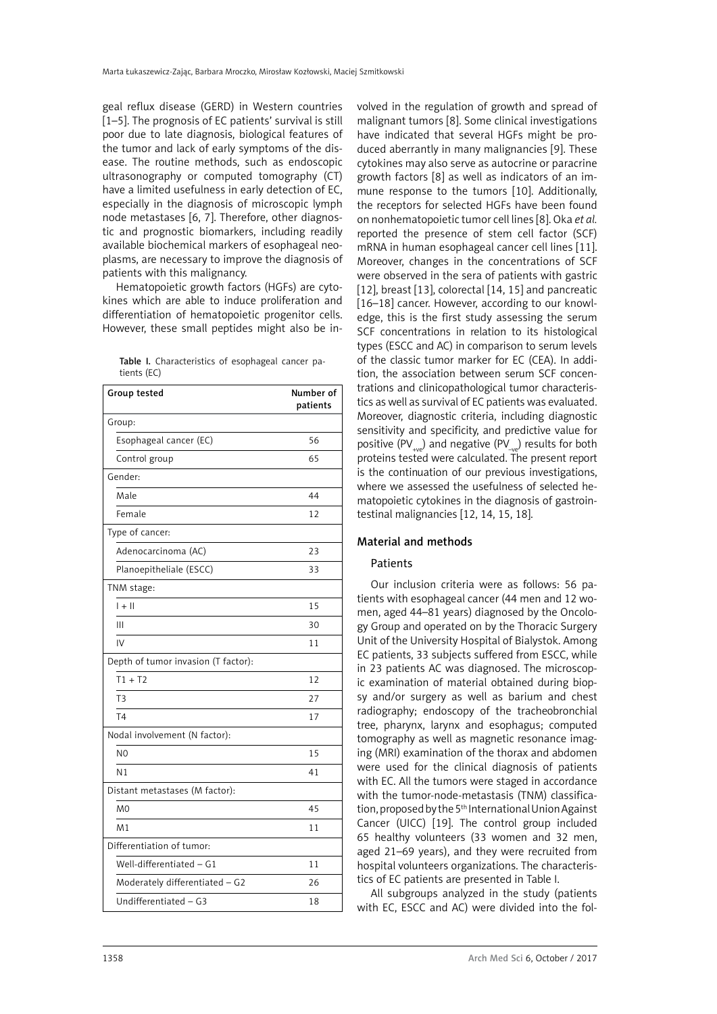geal reflux disease (GERD) in Western countries [1–5]. The prognosis of EC patients' survival is still poor due to late diagnosis, biological features of the tumor and lack of early symptoms of the disease. The routine methods, such as endoscopic ultrasonography or computed tomography (CT) have a limited usefulness in early detection of EC, especially in the diagnosis of microscopic lymph node metastases [6, 7]. Therefore, other diagnostic and prognostic biomarkers, including readily available biochemical markers of esophageal neoplasms, are necessary to improve the diagnosis of patients with this malignancy.

Hematopoietic growth factors (HGFs) are cytokines which are able to induce proliferation and differentiation of hematopoietic progenitor cells. However, these small peptides might also be in-

|             | Table I. Characteristics of esophageal cancer pa- |  |  |
|-------------|---------------------------------------------------|--|--|
| tients (EC) |                                                   |  |  |

| Group tested                        | Number of<br>patients |
|-------------------------------------|-----------------------|
| Group:                              |                       |
| Esophageal cancer (EC)              | 56                    |
| Control group                       | 65                    |
| Gender:                             |                       |
| Male                                | 44                    |
| Female                              | 12                    |
| Type of cancer:                     |                       |
| Adenocarcinoma (AC)                 | 23                    |
| Planoepitheliale (ESCC)             | 33                    |
| TNM stage:                          |                       |
| $1 + 11$                            | 15                    |
| Ш                                   | 30                    |
| IV                                  | 11                    |
| Depth of tumor invasion (T factor): |                       |
| $T1 + T2$                           | 12                    |
| T <sub>3</sub>                      | 27                    |
| <b>T4</b>                           | 17                    |
| Nodal involvement (N factor):       |                       |
| N <sub>0</sub>                      | 15                    |
| N <sub>1</sub>                      | 41                    |
| Distant metastases (M factor):      |                       |
| M <sub>0</sub>                      | 45                    |
| M <sub>1</sub>                      | 11                    |
| Differentiation of tumor:           |                       |
| Well-differentiated - G1            | 11                    |
| Moderately differentiated - G2      | 26                    |
| Undifferentiated - G3               | 18                    |

volved in the regulation of growth and spread of malignant tumors [8]. Some clinical investigations have indicated that several HGFs might be produced aberrantly in many malignancies [9]. These cytokines may also serve as autocrine or paracrine growth factors [8] as well as indicators of an immune response to the tumors [10]. Additionally, the receptors for selected HGFs have been found on nonhematopoietic tumor cell lines [8]. Oka *et al.* reported the presence of stem cell factor (SCF) mRNA in human esophageal cancer cell lines [11]. Moreover, changes in the concentrations of SCF were observed in the sera of patients with gastric [12], breast [13], colorectal [14, 15] and pancreatic [16–18] cancer. However, according to our knowledge, this is the first study assessing the serum SCF concentrations in relation to its histological types (ESCC and AC) in comparison to serum levels of the classic tumor marker for EC (CEA). In addition, the association between serum SCF concentrations and clinicopathological tumor characteristics as well as survival of EC patients was evaluated. Moreover, diagnostic criteria, including diagnostic sensitivity and specificity, and predictive value for positive (PV $_{\text{max}}$ ) and negative (PV $_{\text{max}}$ ) results for both proteins tested were calculated. The present report is the continuation of our previous investigations, where we assessed the usefulness of selected hematopoietic cytokines in the diagnosis of gastrointestinal malignancies [12, 14, 15, 18].

# Material and methods

# **Patients**

Our inclusion criteria were as follows: 56 patients with esophageal cancer (44 men and 12 women, aged 44–81 years) diagnosed by the Oncology Group and operated on by the Thoracic Surgery Unit of the University Hospital of Bialystok. Among EC patients, 33 subjects suffered from ESCC, while in 23 patients AC was diagnosed. The microscopic examination of material obtained during biopsy and/or surgery as well as barium and chest radiography; endoscopy of the tracheobronchial tree, pharynx, larynx and esophagus; computed tomography as well as magnetic resonance imaging (MRI) examination of the thorax and abdomen were used for the clinical diagnosis of patients with EC. All the tumors were staged in accordance with the tumor-node-metastasis (TNM) classification, proposed by the 5<sup>th</sup> International Union Against Cancer (UICC) [19]. The control group included 65 healthy volunteers (33 women and 32 men, aged 21–69 years), and they were recruited from hospital volunteers organizations. The characteristics of EC patients are presented in Table I.

All subgroups analyzed in the study (patients with EC, ESCC and AC) were divided into the fol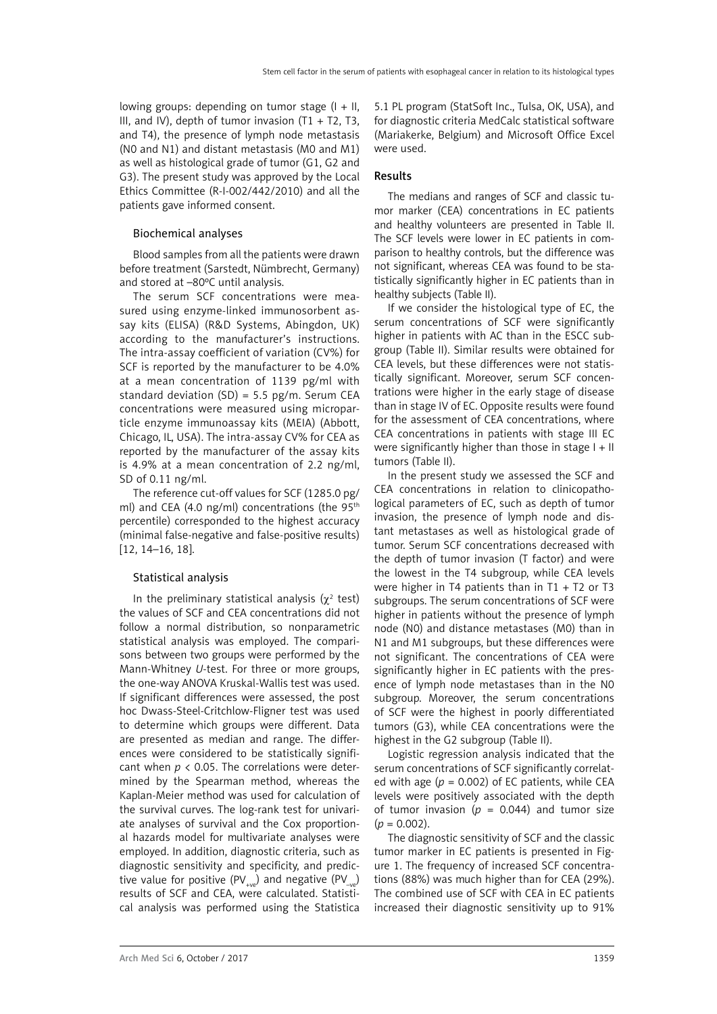lowing groups: depending on tumor stage  $(I + II, I)$ III, and IV), depth of tumor invasion  $(T1 + T2, T3)$ and T4), the presence of lymph node metastasis (N0 and N1) and distant metastasis (M0 and M1) as well as histological grade of tumor (G1, G2 and G3). The present study was approved by the Local Ethics Committee (R-I-002/442/2010) and all the patients gave informed consent.

## Biochemical analyses

Blood samples from all the patients were drawn before treatment (Sarstedt, Nümbrecht, Germany) and stored at –80ºC until analysis.

The serum SCF concentrations were measured using enzyme-linked immunosorbent assay kits (ELISA) (R&D Systems, Abingdon, UK) according to the manufacturer's instructions. The intra-assay coefficient of variation (CV%) for SCF is reported by the manufacturer to be 4.0% at a mean concentration of 1139 pg/ml with standard deviation  $(SD) = 5.5$  pg/m. Serum CEA concentrations were measured using microparticle enzyme immunoassay kits (MEIA) (Abbott, Chicago, IL, USA). The intra-assay CV% for CEA as reported by the manufacturer of the assay kits is 4.9% at a mean concentration of 2.2 ng/ml, SD of 0.11 ng/ml.

The reference cut-off values for SCF (1285.0 pg/ ml) and CEA (4.0 ng/ml) concentrations (the 95<sup>th</sup> percentile) corresponded to the highest accuracy (minimal false-negative and false-positive results) [12, 14–16, 18].

## Statistical analysis

In the preliminary statistical analysis  $(\chi^2 \text{ test})$ the values of SCF and CEA concentrations did not follow a normal distribution, so nonparametric statistical analysis was employed. The comparisons between two groups were performed by the Mann-Whitney *U*-test. For three or more groups, the one-way ANOVA Kruskal-Wallis test was used. If significant differences were assessed, the post hoc Dwass-Steel-Critchlow-Fligner test was used to determine which groups were different. Data are presented as median and range. The differences were considered to be statistically significant when *p* < 0.05. The correlations were determined by the Spearman method, whereas the Kaplan-Meier method was used for calculation of the survival curves. The log-rank test for univariate analyses of survival and the Cox proportional hazards model for multivariate analyses were employed. In addition, diagnostic criteria, such as diagnostic sensitivity and specificity, and predictive value for positive (PV<sub>+ve</sub>) and negative (PV<sub>-ve</sub>) results of SCF and CEA, were calculated. Statistical analysis was performed using the Statistica

5.1 PL program (StatSoft Inc., Tulsa, OK, USA), and for diagnostic criteria MedCalc statistical software (Mariakerke, Belgium) and Microsoft Office Excel were used.

## Results

The medians and ranges of SCF and classic tumor marker (CEA) concentrations in EC patients and healthy volunteers are presented in Table II. The SCF levels were lower in EC patients in comparison to healthy controls, but the difference was not significant, whereas CEA was found to be statistically significantly higher in EC patients than in healthy subjects (Table II).

If we consider the histological type of EC, the serum concentrations of SCF were significantly higher in patients with AC than in the ESCC subgroup (Table II). Similar results were obtained for CEA levels, but these differences were not statistically significant. Moreover, serum SCF concentrations were higher in the early stage of disease than in stage IV of EC. Opposite results were found for the assessment of CEA concentrations, where CEA concentrations in patients with stage III EC were significantly higher than those in stage  $I + II$ tumors (Table II).

In the present study we assessed the SCF and CEA concentrations in relation to clinicopathological parameters of EC, such as depth of tumor invasion, the presence of lymph node and distant metastases as well as histological grade of tumor. Serum SCF concentrations decreased with the depth of tumor invasion (T factor) and were the lowest in the T4 subgroup, while CEA levels were higher in T4 patients than in  $T1 + T2$  or T3 subgroups. The serum concentrations of SCF were higher in patients without the presence of lymph node (N0) and distance metastases (M0) than in N1 and M1 subgroups, but these differences were not significant. The concentrations of CEA were significantly higher in EC patients with the presence of lymph node metastases than in the N0 subgroup. Moreover, the serum concentrations of SCF were the highest in poorly differentiated tumors (G3), while CEA concentrations were the highest in the G2 subgroup (Table II).

Logistic regression analysis indicated that the serum concentrations of SCF significantly correlated with age  $(p = 0.002)$  of EC patients, while CEA levels were positively associated with the depth of tumor invasion ( $p = 0.044$ ) and tumor size  $(p = 0.002)$ .

The diagnostic sensitivity of SCF and the classic tumor marker in EC patients is presented in Figure 1. The frequency of increased SCF concentrations (88%) was much higher than for CEA (29%). The combined use of SCF with CEA in EC patients increased their diagnostic sensitivity up to 91%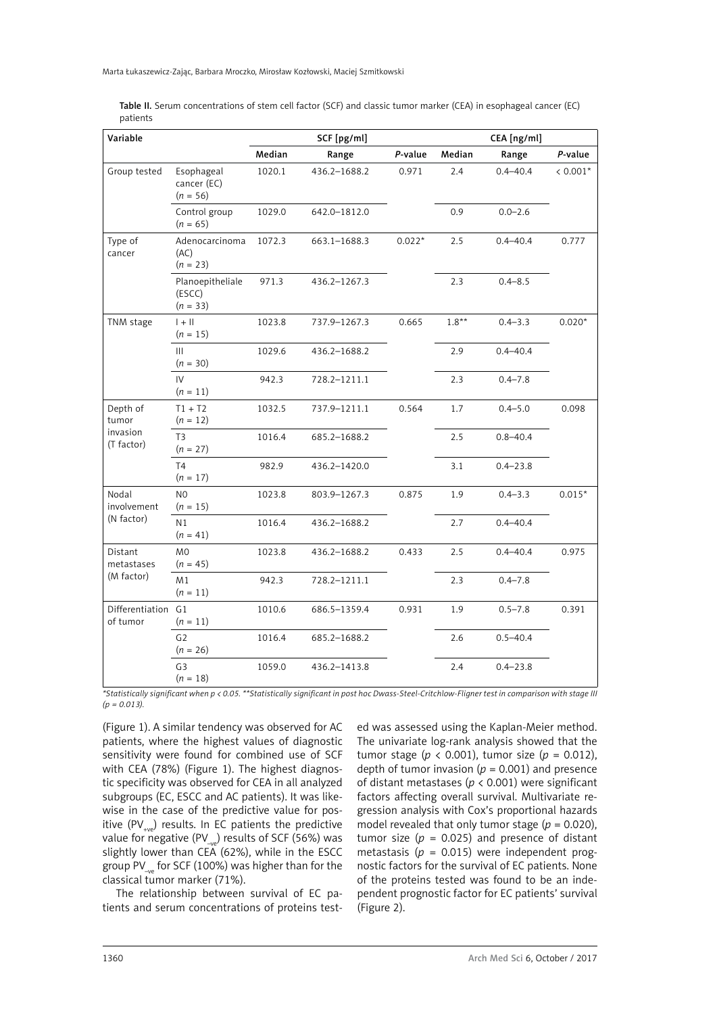Marta Łukaszewicz-Zając, Barbara Mroczko, Mirosław Kozłowski, Maciej Szmitkowski

| Table II. Serum concentrations of stem cell factor (SCF) and classic tumor marker (CEA) in esophageal cancer (EC) |  |
|-------------------------------------------------------------------------------------------------------------------|--|
| patients                                                                                                          |  |

| Variable                                    |                                          |        | SCF [pg/ml]  |          |         | CEA [ng/ml]  |                   |
|---------------------------------------------|------------------------------------------|--------|--------------|----------|---------|--------------|-------------------|
|                                             |                                          | Median | Range        | P-value  | Median  | Range        | P-value           |
| Group tested                                | Esophageal<br>cancer (EC)<br>$(n = 56)$  | 1020.1 | 436.2-1688.2 | 0.971    | 2.4     | $0.4 - 40.4$ | $< 0.001^{\star}$ |
|                                             | Control group<br>$(n = 65)$              | 1029.0 | 642.0-1812.0 |          | 0.9     | $0.0 - 2.6$  |                   |
| Type of<br>cancer                           | Adenocarcinoma<br>(AC)<br>$(n = 23)$     | 1072.3 | 663.1-1688.3 | $0.022*$ | 2.5     | $0.4 - 40.4$ | 0.777             |
|                                             | Planoepitheliale<br>(ESCC)<br>$(n = 33)$ | 971.3  | 436.2-1267.3 |          | 2.3     | $0.4 - 8.5$  |                   |
| TNM stage                                   | $1 + 11$<br>$(n = 15)$                   | 1023.8 | 737.9-1267.3 | 0.665    | $1.8**$ | $0.4 - 3.3$  | $0.020*$          |
|                                             | Ш<br>$(n = 30)$                          | 1029.6 | 436.2-1688.2 |          | 2.9     | $0.4 - 40.4$ |                   |
|                                             | IV<br>$(n = 11)$                         | 942.3  | 728.2-1211.1 |          | 2.3     | $0.4 - 7.8$  |                   |
| Depth of<br>tumor<br>invasion<br>(T factor) | $T1 + T2$<br>$(n = 12)$                  | 1032.5 | 737.9-1211.1 | 0.564    | 1.7     | $0.4 - 5.0$  | 0.098             |
|                                             | T <sub>3</sub><br>$(n = 27)$             | 1016.4 | 685.2-1688.2 |          | 2.5     | $0.8 - 40.4$ |                   |
|                                             | T <sub>4</sub><br>$(n = 17)$             | 982.9  | 436.2-1420.0 |          | 3.1     | $0.4 - 23.8$ |                   |
| Nodal<br>involvement                        | N <sub>0</sub><br>$(n = 15)$             | 1023.8 | 803.9-1267.3 | 0.875    | 1.9     | $0.4 - 3.3$  | $0.015*$          |
| (N factor)                                  | N1<br>$(n = 41)$                         | 1016.4 | 436.2-1688.2 |          | 2.7     | $0.4 - 40.4$ |                   |
| Distant<br>metastases                       | M <sub>0</sub><br>$(n = 45)$             | 1023.8 | 436.2-1688.2 | 0.433    | 2.5     | $0.4 - 40.4$ | 0.975             |
| (M factor)                                  | M1<br>$(n = 11)$                         | 942.3  | 728.2-1211.1 |          | 2.3     | $0.4 - 7.8$  |                   |
| Differentiation G1<br>of tumor              | $(n = 11)$                               | 1010.6 | 686.5-1359.4 | 0.931    | 1.9     | $0.5 - 7.8$  | 0.391             |
|                                             | G <sub>2</sub><br>$(n = 26)$             | 1016.4 | 685.2-1688.2 |          | 2.6     | $0.5 - 40.4$ |                   |
|                                             | G <sub>3</sub><br>$(n = 18)$             | 1059.0 | 436.2-1413.8 |          | 2.4     | $0.4 - 23.8$ |                   |

*\*Statistically significant when p < 0.05. \*\*Statistically significant in post hoc Dwass-Steel-Critchlow-Fligner test in comparison with stage III (p = 0.013).*

(Figure 1). A similar tendency was observed for AC patients, where the highest values of diagnostic sensitivity were found for combined use of SCF with CEA (78%) (Figure 1). The highest diagnostic specificity was observed for CEA in all analyzed subgroups (EC, ESCC and AC patients). It was likewise in the case of the predictive value for positive (PV<sub>+ve</sub>) results. In EC patients the predictive value for negative (PV $_{\text{v}}$ ) results of SCF (56%) was slightly lower than  $CEA$  (62%), while in the ESCC group PV<sub>–ve</sub> for SCF (100%) was higher than for the classical tumor marker (71%).

The relationship between survival of EC patients and serum concentrations of proteins tested was assessed using the Kaplan-Meier method. The univariate log-rank analysis showed that the tumor stage ( $p < 0.001$ ), tumor size ( $p = 0.012$ ), depth of tumor invasion ( $p = 0.001$ ) and presence of distant metastases (*p* < 0.001) were significant factors affecting overall survival. Multivariate regression analysis with Cox's proportional hazards model revealed that only tumor stage ( $p = 0.020$ ). tumor size  $(p = 0.025)$  and presence of distant metastasis ( $p = 0.015$ ) were independent prognostic factors for the survival of EC patients. None of the proteins tested was found to be an independent prognostic factor for EC patients' survival (Figure 2).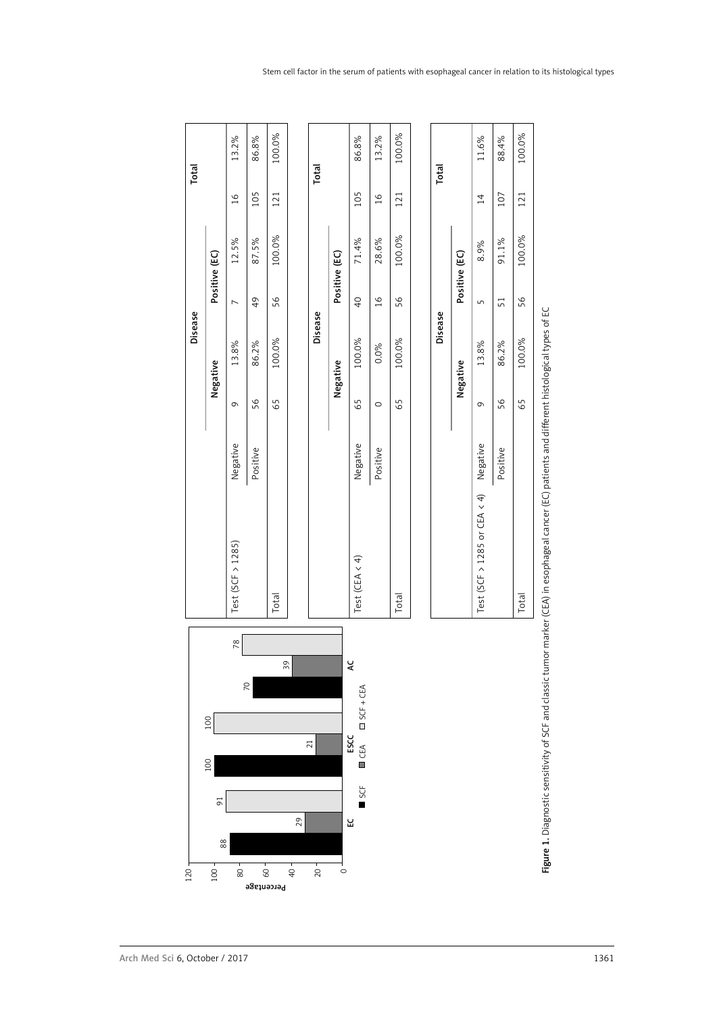| <b>Total</b> | Positive (EC)                               | $\frac{6}{1}$<br>12.5%  | 105<br>87.5%   | 121<br>100.0%                        |                      | <b>Total</b>              | Positive (EC) | 105<br>71.4%                                                                     | $\frac{91}{2}$<br>28.6% | 121<br>100.0% | <b>Total</b> | Positive (EC) | 14<br>8.9%                   | 107<br>91.1%             | 121<br>100.0% |
|--------------|---------------------------------------------|-------------------------|----------------|--------------------------------------|----------------------|---------------------------|---------------|----------------------------------------------------------------------------------|-------------------------|---------------|--------------|---------------|------------------------------|--------------------------|---------------|
| Disease      | Negative                                    | $\overline{ }$<br>13.8% | 49<br>86.2%    | 56<br>100.0%                         |                      | Disease                   | Negative      | $\overline{Q}$<br>100.0%                                                         | $\frac{91}{2}$<br>0.0%  | 56<br>100.0%  | Disease      | Negative      | $\mathsf{L}\cap$<br>13.8%    | $\overline{51}$<br>86.2% | 56<br>100.0%  |
|              |                                             | G                       | 56             | 65                                   |                      |                           |               | 65                                                                               | $\circ$                 | 65            |              |               | $\sigma$                     | 56                       | 65            |
|              |                                             | Negative                | Positive       |                                      |                      |                           |               | Negative                                                                         | Positive                |               |              |               | Negative                     | Positive                 |               |
|              |                                             | Test (SCF > 1285)       |                | <b>Total</b>                         |                      |                           |               | Test (CEA < 4)                                                                   |                         | <b>Total</b>  |              |               | Test (SCF > 1285 or CEA < 4) |                          | Total         |
| 120          | 100<br>100<br>$\overline{5}$<br>$88$<br>100 | 78<br>$\rm 80$          | $\overline{C}$ | $\frac{3}{9}$<br>$-00$<br>Percentage | 29<br>$\overline{Q}$ | $\overline{21}$<br>$20 -$ | $\circ$       | ¥<br>$C = SCF + CEA$<br>ESCC<br>$\blacksquare$ CEA<br>SCF<br>$\blacksquare$<br>닚 |                         |               |              |               |                              |                          |               |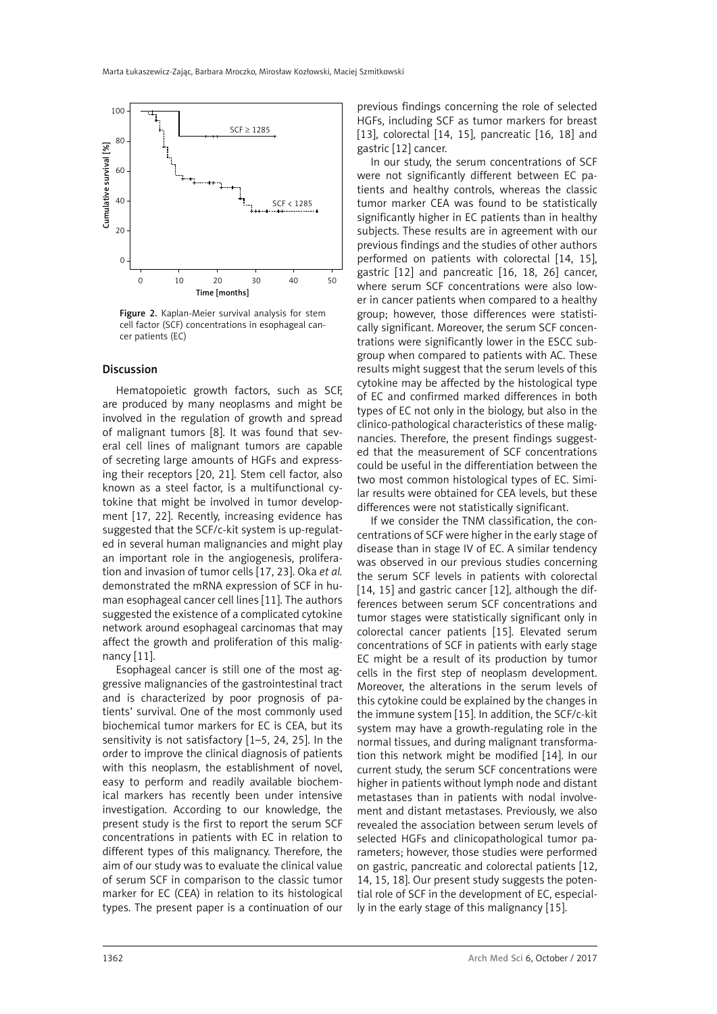

Figure 2. Kaplan-Meier survival analysis for stem cell factor (SCF) concentrations in esophageal cancer patients (EC)

#### Discussion

Hematopoietic growth factors, such as SCF, are produced by many neoplasms and might be involved in the regulation of growth and spread of malignant tumors [8]. It was found that several cell lines of malignant tumors are capable of secreting large amounts of HGFs and expressing their receptors [20, 21]. Stem cell factor, also known as a steel factor, is a multifunctional cytokine that might be involved in tumor development [17, 22]. Recently, increasing evidence has suggested that the SCF/c-kit system is up-regulated in several human malignancies and might play an important role in the angiogenesis, proliferation and invasion of tumor cells [17, 23]. Oka *et al.*  demonstrated the mRNA expression of SCF in human esophageal cancer cell lines [11]. The authors suggested the existence of a complicated cytokine network around esophageal carcinomas that may affect the growth and proliferation of this malignancy [11].

Esophageal cancer is still one of the most aggressive malignancies of the gastrointestinal tract and is characterized by poor prognosis of patients' survival. One of the most commonly used biochemical tumor markers for EC is CEA, but its sensitivity is not satisfactory [1–5, 24, 25]. In the order to improve the clinical diagnosis of patients with this neoplasm, the establishment of novel, easy to perform and readily available biochemical markers has recently been under intensive investigation. According to our knowledge, the present study is the first to report the serum SCF concentrations in patients with EC in relation to different types of this malignancy. Therefore, the aim of our study was to evaluate the clinical value of serum SCF in comparison to the classic tumor marker for EC (CEA) in relation to its histological types. The present paper is a continuation of our

previous findings concerning the role of selected HGFs, including SCF as tumor markers for breast [13], colorectal [14, 15], pancreatic [16, 18] and gastric [12] cancer.

In our study, the serum concentrations of SCF were not significantly different between EC patients and healthy controls, whereas the classic tumor marker CEA was found to be statistically significantly higher in EC patients than in healthy subjects. These results are in agreement with our previous findings and the studies of other authors performed on patients with colorectal [14, 15], gastric [12] and pancreatic [16, 18, 26] cancer, where serum SCF concentrations were also lower in cancer patients when compared to a healthy group; however, those differences were statistically significant. Moreover, the serum SCF concentrations were significantly lower in the ESCC subgroup when compared to patients with AC. These results might suggest that the serum levels of this cytokine may be affected by the histological type of EC and confirmed marked differences in both types of EC not only in the biology, but also in the clinico-pathological characteristics of these malignancies. Therefore, the present findings suggested that the measurement of SCF concentrations could be useful in the differentiation between the two most common histological types of EC. Similar results were obtained for CEA levels, but these differences were not statistically significant.

Example the state is a set of the state in the state in the state in the state in the state in the state in the state in the state in the state in the state in the state in the state in the state in the state in the state If we consider the TNM classification, the concentrations of SCF were higher in the early stage of disease than in stage IV of EC. A similar tendency was observed in our previous studies concerning the serum SCF levels in patients with colorectal [14, 15] and gastric cancer [12], although the differences between serum SCF concentrations and tumor stages were statistically significant only in colorectal cancer patients [15]. Elevated serum concentrations of SCF in patients with early stage EC might be a result of its production by tumor cells in the first step of neoplasm development. Moreover, the alterations in the serum levels of this cytokine could be explained by the changes in the immune system [15]. In addition, the SCF/c-kit system may have a growth-regulating role in the normal tissues, and during malignant transformation this network might be modified [14]. In our current study, the serum SCF concentrations were higher in patients without lymph node and distant metastases than in patients with nodal involvement and distant metastases. Previously, we also revealed the association between serum levels of selected HGFs and clinicopathological tumor parameters; however, those studies were performed on gastric, pancreatic and colorectal patients [12, 14, 15, 18]. Our present study suggests the potential role of SCF in the development of EC, especially in the early stage of this malignancy [15].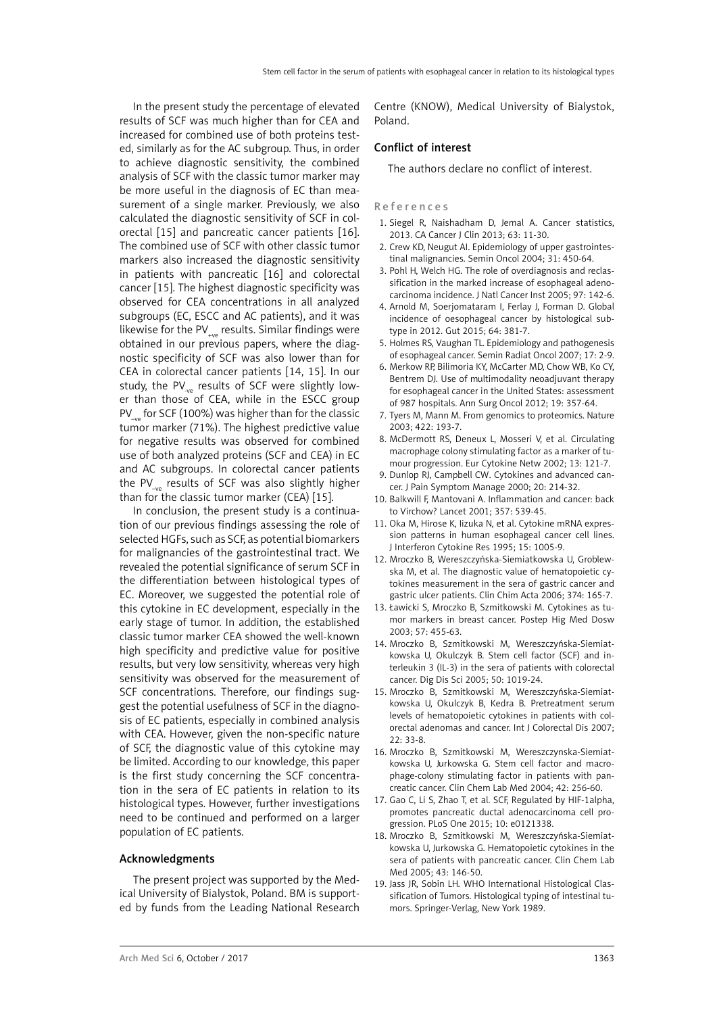In the present study the percentage of elevated results of SCF was much higher than for CEA and increased for combined use of both proteins tested, similarly as for the AC subgroup. Thus, in order to achieve diagnostic sensitivity, the combined analysis of SCF with the classic tumor marker may be more useful in the diagnosis of EC than measurement of a single marker. Previously, we also calculated the diagnostic sensitivity of SCF in colorectal [15] and pancreatic cancer patients [16]. The combined use of SCF with other classic tumor markers also increased the diagnostic sensitivity in patients with pancreatic [16] and colorectal cancer [15]. The highest diagnostic specificity was observed for CEA concentrations in all analyzed subgroups (EC, ESCC and AC patients), and it was likewise for the PV $_{\text{+ve}}$  results. Similar findings were obtained in our previous papers, where the diagnostic specificity of SCF was also lower than for CEA in colorectal cancer patients [14, 15]. In our study, the PV $_{ve}$  results of SCF were slightly lower than those of CEA, while in the ESCC group  $PV_{\text{avg}}$  for SCF (100%) was higher than for the classic tumor marker (71%). The highest predictive value for negative results was observed for combined use of both analyzed proteins (SCF and CEA) in EC and AC subgroups. In colorectal cancer patients the PV $\mu$  results of SCF was also slightly higher than for the classic tumor marker (CEA) [15].

In conclusion, the present study is a continuation of our previous findings assessing the role of selected HGFs, such as SCF, as potential biomarkers for malignancies of the gastrointestinal tract. We revealed the potential significance of serum SCF in the differentiation between histological types of EC. Moreover, we suggested the potential role of this cytokine in EC development, especially in the early stage of tumor. In addition, the established classic tumor marker CEA showed the well-known high specificity and predictive value for positive results, but very low sensitivity, whereas very high sensitivity was observed for the measurement of SCF concentrations. Therefore, our findings suggest the potential usefulness of SCF in the diagnosis of EC patients, especially in combined analysis with CEA. However, given the non-specific nature of SCF, the diagnostic value of this cytokine may be limited. According to our knowledge, this paper is the first study concerning the SCF concentration in the sera of EC patients in relation to its histological types. However, further investigations need to be continued and performed on a larger population of EC patients.

#### Acknowledgments

The present project was supported by the Medical University of Bialystok, Poland. BM is supported by funds from the Leading National Research

Centre (KNOW), Medical University of Bialystok, Poland.

#### Conflict of interest

The authors declare no conflict of interest.

#### References

- 1. Siegel R, Naishadham D, Jemal A. Cancer statistics, 2013. CA Cancer J Clin 2013; 63: 11-30.
- 2. Crew KD, Neugut AI. Epidemiology of upper gastrointestinal malignancies. Semin Oncol 2004; 31: 450-64.
- 3. Pohl H, Welch HG. The role of overdiagnosis and reclassification in the marked increase of esophageal adenocarcinoma incidence. J Natl Cancer Inst 2005; 97: 142-6.
- 4. Arnold M, Soerjomataram I, Ferlay J, Forman D. Global incidence of oesophageal cancer by histological subtype in 2012. Gut 2015; 64: 381-7.
- 5. Holmes RS, Vaughan TL. Epidemiology and pathogenesis of esophageal cancer. Semin Radiat Oncol 2007; 17: 2-9.
- 6. Merkow RP, Bilimoria KY, McCarter MD, Chow WB, Ko CY, Bentrem DJ. Use of multimodality neoadjuvant therapy for esophageal cancer in the United States: assessment of 987 hospitals. Ann Surg Oncol 2012; 19: 357-64.
- 7. Tyers M, Mann M. From genomics to proteomics. Nature 2003; 422: 193-7.
- 8. McDermott RS, Deneux L, Mosseri V, et al. Circulating macrophage colony stimulating factor as a marker of tumour progression. Eur Cytokine Netw 2002; 13: 121-7.
- 9. Dunlop RJ, Campbell CW. Cytokines and advanced cancer. J Pain Symptom Manage 2000; 20: 214-32.
- 10. Balkwill F, Mantovani A. Inflammation and cancer: back to Virchow? Lancet 2001; 357: 539-45.
- 11. Oka M, Hirose K, Iizuka N, et al. Cytokine mRNA expression patterns in human esophageal cancer cell lines. J Interferon Cytokine Res 1995; 15: 1005-9.
- 12. Mroczko B, Wereszczyńska-Siemiatkowska U, Groblewska M, et al. The diagnostic value of hematopoietic cytokines measurement in the sera of gastric cancer and gastric ulcer patients. Clin Chim Acta 2006; 374: 165-7.
- 13. Ławicki S, Mroczko B, Szmitkowski M. Cytokines as tumor markers in breast cancer. Postep Hig Med Dosw 2003; 57: 455-63.
- 14. Mroczko B, Szmitkowski M, Wereszczyńska-Siemiatkowska U, Okulczyk B. Stem cell factor (SCF) and interleukin 3 (IL-3) in the sera of patients with colorectal cancer. Dig Dis Sci 2005; 50: 1019-24.
- 15. Mroczko B, Szmitkowski M, Wereszczyńska-Siemiatkowska U, Okulczyk B, Kedra B. Pretreatment serum levels of hematopoietic cytokines in patients with colorectal adenomas and cancer. Int J Colorectal Dis 2007; 22: 33-8.
- 16. Mroczko B, Szmitkowski M, Wereszczynska-Siemiatkowska U, Jurkowska G. Stem cell factor and macrophage-colony stimulating factor in patients with pancreatic cancer. Clin Chem Lab Med 2004; 42: 256-60.
- 17. Gao C, Li S, Zhao T, et al. SCF, Regulated by HIF-1alpha, promotes pancreatic ductal adenocarcinoma cell progression. PLoS One 2015; 10: e0121338.
- 18. Mroczko B, Szmitkowski M, Wereszczyńska-Siemiatkowska U, Jurkowska G. Hematopoietic cytokines in the sera of patients with pancreatic cancer. Clin Chem Lab Med 2005; 43: 146-50.
- 19. Jass JR, Sobin LH. WHO International Histological Classification of Tumors. Histological typing of intestinal tumors. Springer-Verlag, New York 1989.